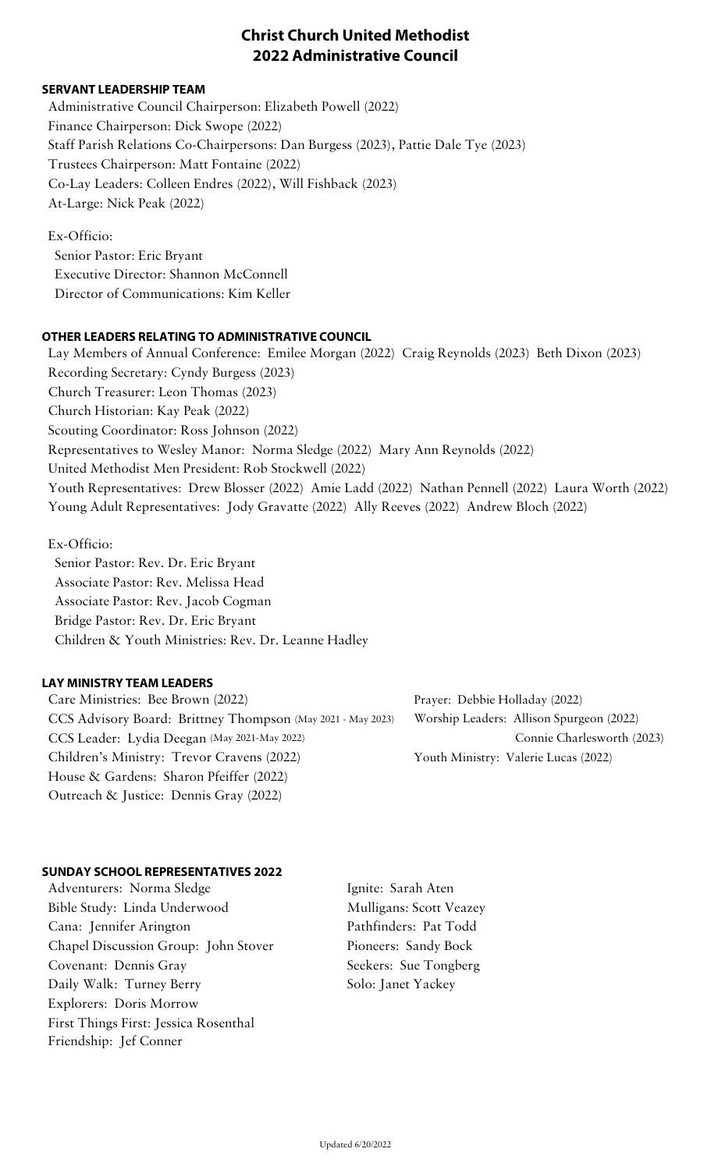## **Christ Church United Methodist 2022 Administrative Council**

#### **SERVANT LEADERSHIP TEAM**

Administrative Council Chairperson: Elizabeth Powell (2022) Finance Chairperson: Dick Swope (2022) Staff Parish Relations Co-Chairpersons: Dan Burgess (2023), Pattie Dale Tye (2023) Trustees Chairperson: Matt Fontaine (2022) Co-Lay Leaders: Colleen Endres (2022), Will Fishback (2023) At-Large: Nick Peak (2022)

Ex-Officio: Senior Pastor: Eric Bryant Executive Director: Shannon McConnell Director of Communications: Kim Keller

#### **OTHER LEADERS RELATING TO ADMINISTRATIVE COUNCIL**

Lay Members of Annual Conference: Emilee Morgan (2022) Craig Reynolds (2023) Beth Dixon (2023) Recording Secretary: Cyndy Burgess (2023) Church Treasurer: Leon Thomas (2023) Church Historian: Kay Peak (2022) Scouting Coordinator: Ross Johnson (2022) Representatives to Wesley Manor: Norma Sledge (2022) Mary Ann Reynolds (2022) United Methodist Men President: Rob Stockwell (2022) Youth Representatives: Drew Blosser (2022) Amie Ladd (2022) Nathan Pennell (2022) Laura Worth (2022) Young Adult Representatives: Jody Gravatte (2022) Ally Reeves (2022) Andrew Bloch (2022)

Ex-Officio:

 Senior Pastor: Rev. Dr. Eric Bryant Associate Pastor: Rev. Melissa Head Associate Pastor: Rev. Jacob Cogman Bridge Pastor: Rev. Dr. Eric Bryant Children & Youth Ministries: Rev. Dr. Leanne Hadley

#### **LAY MINISTRY TEAM LEADERS**

Care Ministries: Bee Brown (2022) Prayer: Debbie Holladay (2022) CCS Advisory Board: Brittney Thompson (May 2021 - May 2023) Worship Leaders: Allison Spurgeon (2022) CCS Leader: Lydia Deegan (May 2021-May 2022) Connie Charlesworth (2023) Children's Ministry: Trevor Cravens (2022) Youth Ministry: Valerie Lucas (2022) House & Gardens: Sharon Pfeiffer (2022) Outreach & Justice: Dennis Gray (2022)

#### **SUNDAY SCHOOL REPRESENTATIVES 2022**

Adventurers: Norma Sledge Ignite: Sarah Aten Bible Study: Linda Underwood Mulligans: Scott Veazey Cana: Jennifer Arington Pathfinders: Pat Todd Chapel Discussion Group: John Stover Pioneers: Sandy Bock Covenant: Dennis Gray Seekers: Sue Tongberg Daily Walk: Turney Berry Solo: Janet Yackey Explorers: Doris Morrow First Things First: Jessica Rosenthal Friendship: Jef Conner